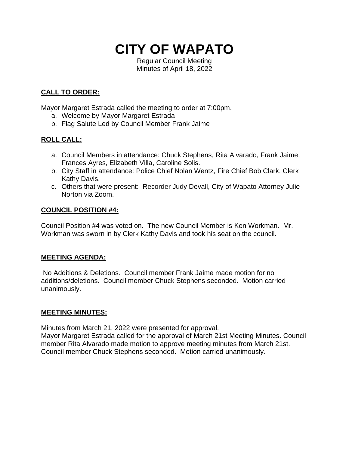# **CITY OF WAPATO**

Regular Council Meeting Minutes of April 18, 2022

# **CALL TO ORDER:**

Mayor Margaret Estrada called the meeting to order at 7:00pm.

- a. Welcome by Mayor Margaret Estrada
- b. Flag Salute Led by Council Member Frank Jaime

# **ROLL CALL:**

- a. Council Members in attendance: Chuck Stephens, Rita Alvarado, Frank Jaime, Frances Ayres, Elizabeth Villa, Caroline Solis.
- b. City Staff in attendance: Police Chief Nolan Wentz, Fire Chief Bob Clark, Clerk Kathy Davis.
- c. Others that were present: Recorder Judy Devall, City of Wapato Attorney Julie Norton via Zoom.

#### **COUNCIL POSITION #4:**

Council Position #4 was voted on. The new Council Member is Ken Workman. Mr. Workman was sworn in by Clerk Kathy Davis and took his seat on the council.

# **MEETING AGENDA:**

No Additions & Deletions. Council member Frank Jaime made motion for no additions/deletions. Council member Chuck Stephens seconded. Motion carried unanimously.

# **MEETING MINUTES:**

Minutes from March 21, 2022 were presented for approval.

Mayor Margaret Estrada called for the approval of March 21st Meeting Minutes. Council member Rita Alvarado made motion to approve meeting minutes from March 21st. Council member Chuck Stephens seconded. Motion carried unanimously.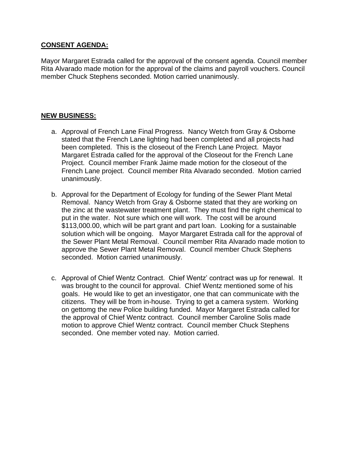#### **CONSENT AGENDA:**

Mayor Margaret Estrada called for the approval of the consent agenda. Council member Rita Alvarado made motion for the approval of the claims and payroll vouchers. Council member Chuck Stephens seconded. Motion carried unanimously.

#### **NEW BUSINESS:**

- a. Approval of French Lane Final Progress. Nancy Wetch from Gray & Osborne stated that the French Lane lighting had been completed and all projects had been completed. This is the closeout of the French Lane Project. Mayor Margaret Estrada called for the approval of the Closeout for the French Lane Project. Council member Frank Jaime made motion for the closeout of the French Lane project. Council member Rita Alvarado seconded. Motion carried unanimously.
- b. Approval for the Department of Ecology for funding of the Sewer Plant Metal Removal. Nancy Wetch from Gray & Osborne stated that they are working on the zinc at the wastewater treatment plant. They must find the right chemical to put in the water. Not sure which one will work. The cost will be around \$113,000.00, which will be part grant and part loan. Looking for a sustainable solution which will be ongoing. Mayor Margaret Estrada call for the approval of the Sewer Plant Metal Removal. Council member Rita Alvarado made motion to approve the Sewer Plant Metal Removal. Council member Chuck Stephens seconded. Motion carried unanimously.
- c. Approval of Chief Wentz Contract. Chief Wentz' contract was up for renewal. It was brought to the council for approval. Chief Wentz mentioned some of his goals. He would like to get an investigator, one that can communicate with the citizens. They will be from in-house. Trying to get a camera system. Working on gettomg the new Police building funded. Mayor Margaret Estrada called for the approval of Chief Wentz contract. Council member Caroline Solis made motion to approve Chief Wentz contract. Council member Chuck Stephens seconded. One member voted nay. Motion carried.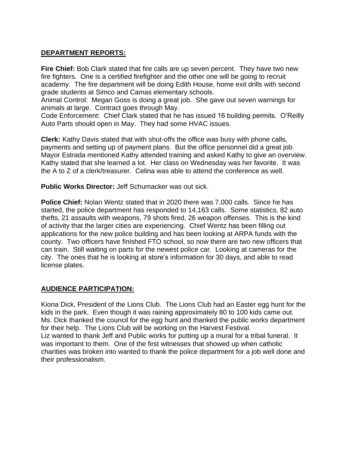# **DEPARTMENT REPORTS:**

**Fire Chief:** Bob Clark stated that fire calls are up seven percent. They have two new fire fighters. One is a certified firefighter and the other one will be going to recruit academy. The fire department will be doing Edith House, home exit drills with second grade students at Simco and Camas elementary schools.

Animal Control: Megan Goss is doing a great job. She gave out seven warnings for animals at large. Contract goes through May.

Code Enforcement: Chief Clark stated that he has issued 16 building permits. O'Reilly Auto Parts should open in May. They had some HVAC issues.

**Clerk:** Kathy Davis stated that with shut-offs the office was busy with phone calls, payments and setting up of payment plans. But the office personnel did a great job. Mayor Estrada mentioned Kathy attended training and asked Kathy to give an overview. Kathy stated that she learned a lot. Her class on Wednesday was her favorite. It was the A to Z of a clerk/treasurer. Celina was able to attend the conference as well.

**Public Works Director:** Jeff Schumacker was out sick.

**Police Chief:** Nolan Wentz stated that in 2020 there was 7,000 calls. Since he has started, the police department has responded to 14,163 calls. Some statistics, 82 auto thefts, 21 assaults with weapons, 79 shots fired, 26 weapon offenses. This is the kind of activity that the larger cities are experiencing. Chief Wentz has been filling out applications for the new police building and has been looking at ARPA funds with the county. Two officers have finished FTO school, so now there are two new officers that can train. Still waiting on parts for the newest police car. Looking at cameras for the city. The ones that he is looking at store's information for 30 days, and able to read license plates.

# **AUDIENCE PARTICIPATION:**

Kiona Dick, President of the Lions Club. The Lions Club had an Easter egg hunt for the kids in the park. Even though it was raining approximately 80 to 100 kids came out. Ms. Dick thanked the council for the egg hunt and thanked the public works department for their help. The Lions Club will be working on the Harvest Festival. Liz wanted to thank Jeff and Public works for putting up a mural for a tribal funeral. It was important to them. One of the first witnesses that showed up when catholic charities was broken into wanted to thank the police department for a job well done and their professionalism.